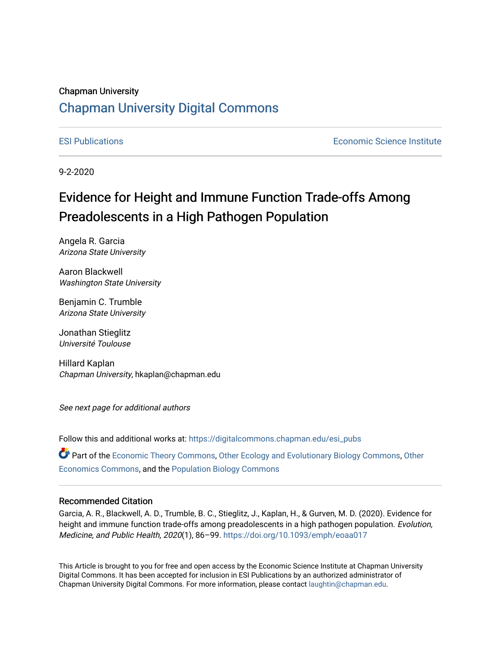#### Chapman University

## [Chapman University Digital Commons](https://digitalcommons.chapman.edu/)

[ESI Publications](https://digitalcommons.chapman.edu/esi_pubs) [Economic Science Institute](https://digitalcommons.chapman.edu/esi) 

9-2-2020

## Evidence for Height and Immune Function Trade-offs Among Preadolescents in a High Pathogen Population

Angela R. Garcia Arizona State University

Aaron Blackwell Washington State University

Benjamin C. Trumble Arizona State University

Jonathan Stieglitz Université Toulouse

Hillard Kaplan Chapman University, hkaplan@chapman.edu

See next page for additional authors

Follow this and additional works at: [https://digitalcommons.chapman.edu/esi\\_pubs](https://digitalcommons.chapman.edu/esi_pubs?utm_source=digitalcommons.chapman.edu%2Fesi_pubs%2F253&utm_medium=PDF&utm_campaign=PDFCoverPages) 

Part of the [Economic Theory Commons](http://network.bepress.com/hgg/discipline/344?utm_source=digitalcommons.chapman.edu%2Fesi_pubs%2F253&utm_medium=PDF&utm_campaign=PDFCoverPages), [Other Ecology and Evolutionary Biology Commons](http://network.bepress.com/hgg/discipline/21?utm_source=digitalcommons.chapman.edu%2Fesi_pubs%2F253&utm_medium=PDF&utm_campaign=PDFCoverPages), [Other](http://network.bepress.com/hgg/discipline/353?utm_source=digitalcommons.chapman.edu%2Fesi_pubs%2F253&utm_medium=PDF&utm_campaign=PDFCoverPages) [Economics Commons,](http://network.bepress.com/hgg/discipline/353?utm_source=digitalcommons.chapman.edu%2Fesi_pubs%2F253&utm_medium=PDF&utm_campaign=PDFCoverPages) and the [Population Biology Commons](http://network.bepress.com/hgg/discipline/19?utm_source=digitalcommons.chapman.edu%2Fesi_pubs%2F253&utm_medium=PDF&utm_campaign=PDFCoverPages) 

#### Recommended Citation

Garcia, A. R., Blackwell, A. D., Trumble, B. C., Stieglitz, J., Kaplan, H., & Gurven, M. D. (2020). Evidence for height and immune function trade-offs among preadolescents in a high pathogen population. Evolution, Medicine, and Public Health, 2020(1), 86–99.<https://doi.org/10.1093/emph/eoaa017>

This Article is brought to you for free and open access by the Economic Science Institute at Chapman University Digital Commons. It has been accepted for inclusion in ESI Publications by an authorized administrator of Chapman University Digital Commons. For more information, please contact [laughtin@chapman.edu](mailto:laughtin@chapman.edu).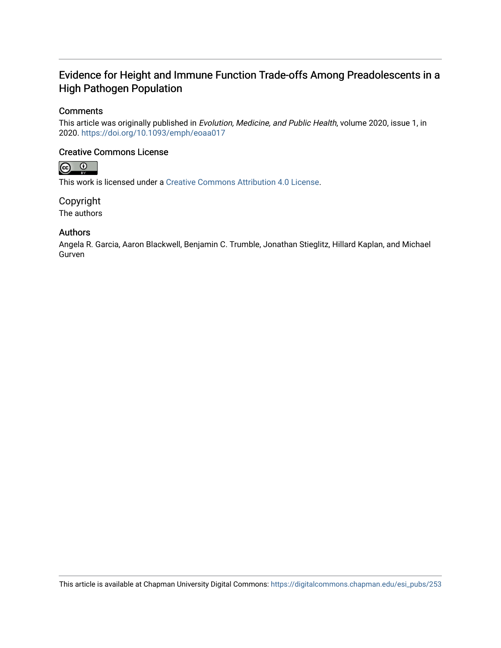## Evidence for Height and Immune Function Trade-offs Among Preadolescents in a High Pathogen Population

### **Comments**

This article was originally published in Evolution, Medicine, and Public Health, volume 2020, issue 1, in 2020. <https://doi.org/10.1093/emph/eoaa017>

#### Creative Commons License



This work is licensed under a [Creative Commons Attribution 4.0 License](https://creativecommons.org/licenses/by/4.0/).

Copyright The authors

#### Authors

Angela R. Garcia, Aaron Blackwell, Benjamin C. Trumble, Jonathan Stieglitz, Hillard Kaplan, and Michael Gurven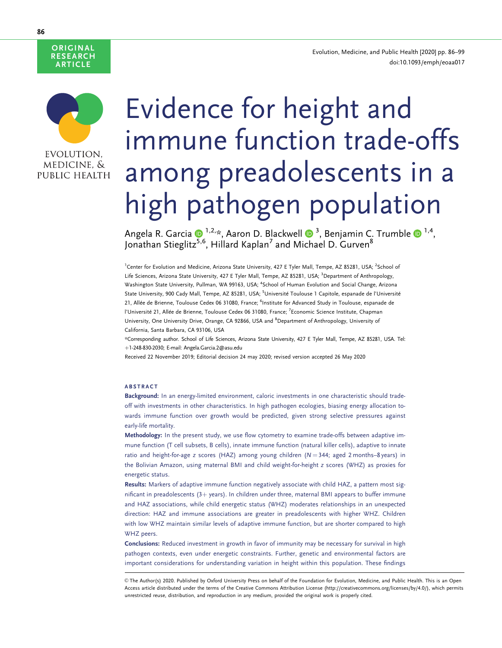

**ORIGINAL** RESEARCH ARTICLE

# Evidence for height and immune function trade-offs among preadolescents in a high pathogen population

Angela R. Garcia 1,2,\*, Aaron D. Blackwell <sup>3</sup> , Benjamin C. Trumble 1,4, Jonathan Stieglitz $^{5,6}$ , Hillard Kaplan $^7$  and Michael D. Gurven $^8$ 

<sup>1</sup>Center for Evolution and Medicine, Arizona State University, 427 E Tyler Mall, Tempe, AZ 85281, USA; <sup>2</sup>School of Life Sciences, Arizona State University, 427 E Tyler Mall, Tempe, AZ 85281, USA; <sup>3</sup>Department of Anthropology, Washington State University, Pullman, WA 99163, USA; <sup>4</sup>School of Human Evolution and Social Change, Arizona State University, 900 Cady Mall, Tempe, AZ 85281, USA; <sup>5</sup>Université Toulouse 1 Capitole, espanade de l'Université 21, Allée de Brienne, Toulouse Cedex 06 31080, France; <sup>6</sup>Institute for Advanced Study in Toulouse, espanade de l'Université 21, Allée de Brienne, Toulouse Cedex 06 31080, France; <sup>7</sup>Economic Science Institute, Chapman University, One University Drive, Orange, CA 92866, USA and <sup>8</sup>Department of Anthropology, University of California, Santa Barbara, CA 93106, USA

\*Corresponding author. School of Life Sciences, Arizona State University, 427 E Tyler Mall, Tempe, AZ 85281, USA. Tel: þ1-248-830-2030; E-mail: Angela.Garcia.2@asu.edu

Received 22 November 2019; Editorial decision 24 may 2020; revised version accepted 26 May 2020

#### ABSTRACT

Background: In an energy-limited environment, caloric investments in one characteristic should tradeoff with investments in other characteristics. In high pathogen ecologies, biasing energy allocation towards immune function over growth would be predicted, given strong selective pressures against early-life mortality.

Methodology: In the present study, we use flow cytometry to examine trade-offs between adaptive immune function (T cell subsets, B cells), innate immune function (natural killer cells), adaptive to innate ratio and height-for-age z scores (HAZ) among young children ( $N = 344$ ; aged 2 months–8 years) in the Bolivian Amazon, using maternal BMI and child weight-for-height z scores (WHZ) as proxies for energetic status.

Results: Markers of adaptive immune function negatively associate with child HAZ, a pattern most significant in preadolescents  $(3 + years)$ . In children under three, maternal BMI appears to buffer immune and HAZ associations, while child energetic status (WHZ) moderates relationships in an unexpected direction: HAZ and immune associations are greater in preadolescents with higher WHZ. Children with low WHZ maintain similar levels of adaptive immune function, but are shorter compared to high WHZ peers.

Conclusions: Reduced investment in growth in favor of immunity may be necessary for survival in high pathogen contexts, even under energetic constraints. Further, genetic and environmental factors are important considerations for understanding variation in height within this population. These findings

V<sup>C</sup> The Author(s) 2020. Published by Oxford University Press on behalf of the Foundation for Evolution, Medicine, and Public Health. This is an Open Access article distributed under the terms of the Creative Commons Attribution License (http://creativecommons.org/licenses/by/4.0/), which permits unrestricted reuse, distribution, and reproduction in any medium, provided the original work is properly cited.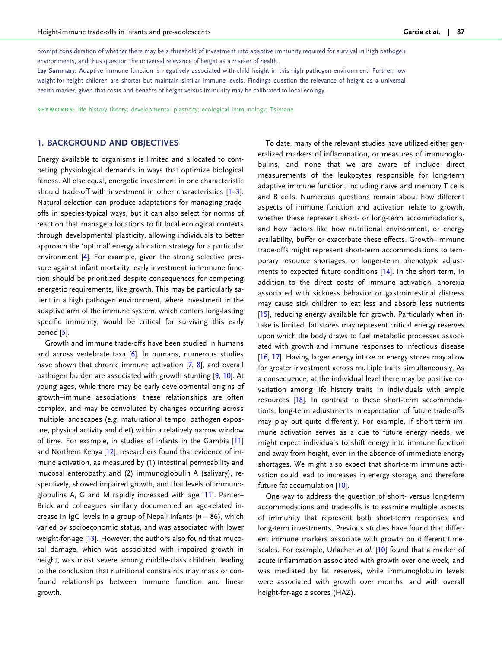<span id="page-3-0"></span>prompt consideration of whether there may be a threshold of investment into adaptive immunity required for survival in high pathogen environments, and thus question the universal relevance of height as a marker of health.

Lay Summary: Adaptive immune function is negatively associated with child height in this high pathogen environment. Further, low weight-for-height children are shorter but maintain similar immune levels. Findings question the relevance of height as a universal health marker, given that costs and benefits of height versus immunity may be calibrated to local ecology.

KEYWORDS: life history theory; developmental plasticity; ecological immunology; Tsimane

#### 1. BACKGROUND AND OBJECTIVES

Energy available to organisms is limited and allocated to competing physiological demands in ways that optimize biological fitness. All else equal, energetic investment in one characteristic should trade-off with investment in other characteristics [\[1](#page-14-0)–[3\]](#page-14-0). Natural selection can produce adaptations for managing tradeoffs in species-typical ways, but it can also select for norms of reaction that manage allocations to fit local ecological contexts through developmental plasticity, allowing individuals to better approach the 'optimal' energy allocation strategy for a particular environment [[4](#page-14-0)]. For example, given the strong selective pressure against infant mortality, early investment in immune function should be prioritized despite consequences for competing energetic requirements, like growth. This may be particularly salient in a high pathogen environment, where investment in the adaptive arm of the immune system, which confers long-lasting specific immunity, would be critical for surviving this early period [\[5](#page-14-0)].

Growth and immune trade-offs have been studied in humans and across vertebrate taxa [[6\]](#page-14-0). In humans, numerous studies have shown that chronic immune activation [\[7](#page-14-0), [8\]](#page-14-0), and overall pathogen burden are associated with growth stunting [\[9](#page-14-0), [10\]](#page-14-0). At young ages, while there may be early developmental origins of growth–immune associations, these relationships are often complex, and may be convoluted by changes occurring across multiple landscapes (e.g. maturational tempo, pathogen exposure, physical activity and diet) within a relatively narrow window of time. For example, in studies of infants in the Gambia [[11](#page-14-0)] and Northern Kenya [[12](#page-14-0)], researchers found that evidence of immune activation, as measured by (1) intestinal permeability and mucosal enteropathy and (2) immunoglobulin A (salivary), respectively, showed impaired growth, and that levels of immunoglobulins A, G and M rapidly increased with age [\[11\]](#page-14-0). Panter– Brick and colleagues similarly documented an age-related increase in IgG levels in a group of Nepali infants ( $n = 86$ ), which varied by socioeconomic status, and was associated with lower weight-for-age [\[13\]](#page-14-0). However, the authors also found that mucosal damage, which was associated with impaired growth in height, was most severe among middle-class children, leading to the conclusion that nutritional constraints may mask or confound relationships between immune function and linear growth.

To date, many of the relevant studies have utilized either generalized markers of inflammation, or measures of immunoglobulins, and none that we are aware of include direct measurements of the leukocytes responsible for long-term adaptive immune function, including naïve and memory T cells and B cells. Numerous questions remain about how different aspects of immune function and activation relate to growth, whether these represent short- or long-term accommodations, and how factors like how nutritional environment, or energy availability, buffer or exacerbate these effects. Growth–immune trade-offs might represent short-term accommodations to temporary resource shortages, or longer-term phenotypic adjustments to expected future conditions [[14](#page-14-0)]. In the short term, in addition to the direct costs of immune activation, anorexia associated with sickness behavior or gastrointestinal distress may cause sick children to eat less and absorb less nutrients [\[15\]](#page-14-0), reducing energy available for growth. Particularly when intake is limited, fat stores may represent critical energy reserves upon which the body draws to fuel metabolic processes associated with growth and immune responses to infectious disease [\[16,](#page-14-0) [17](#page-14-0)]. Having larger energy intake or energy stores may allow for greater investment across multiple traits simultaneously. As a consequence, at the individual level there may be positive covariation among life history traits in individuals with ample resources [\[18\]](#page-14-0). In contrast to these short-term accommodations, long-term adjustments in expectation of future trade-offs may play out quite differently. For example, if short-term immune activation serves as a cue to future energy needs, we might expect individuals to shift energy into immune function and away from height, even in the absence of immediate energy shortages. We might also expect that short-term immune activation could lead to increases in energy storage, and therefore future fat accumulation [[10](#page-14-0)].

One way to address the question of short- versus long-term accommodations and trade-offs is to examine multiple aspects of immunity that represent both short-term responses and long-term investments. Previous studies have found that different immune markers associate with growth on different time-scales. For example, Urlacher et al. [[10](#page-14-0)] found that a marker of acute inflammation associated with growth over one week, and was mediated by fat reserves, while immunoglobulin levels were associated with growth over months, and with overall height-for-age z scores (HAZ).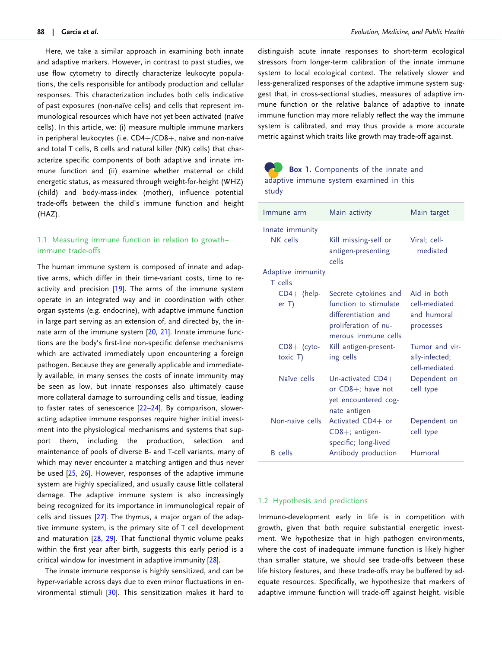<span id="page-4-0"></span>Here, we take a similar approach in examining both innate and adaptive markers. However, in contrast to past studies, we use flow cytometry to directly characterize leukocyte populations, the cells responsible for antibody production and cellular responses. This characterization includes both cells indicative of past exposures (non-naïve cells) and cells that represent immunological resources which have not yet been activated (naïve cells). In this article, we: (i) measure multiple immune markers in peripheral leukocytes (i.e.  $CD4+/CD8+$ , naïve and non-naïve and total T cells, B cells and natural killer (NK) cells) that characterize specific components of both adaptive and innate immune function and (ii) examine whether maternal or child energetic status, as measured through weight-for-height (WHZ) (child) and body-mass-index (mother), influence potential trade-offs between the child's immune function and height (HAZ).

#### 1.1 Measuring immune function in relation to growth– immune trade-offs

The human immune system is composed of innate and adaptive arms, which differ in their time-variant costs, time to reactivity and precision  $[19]$ . The arms of the immune system operate in an integrated way and in coordination with other organ systems (e.g. endocrine), with adaptive immune function in large part serving as an extension of, and directed by, the innate arm of the immune system [[20](#page-14-0), [21](#page-14-0)]. Innate immune functions are the body's first-line non-specific defense mechanisms which are activated immediately upon encountering a foreign pathogen. Because they are generally applicable and immediately available, in many senses the costs of innate immunity may be seen as low, but innate responses also ultimately cause more collateral damage to surrounding cells and tissue, leading to faster rates of senescence [[22–24\]](#page-14-0). By comparison, sloweracting adaptive immune responses require higher initial investment into the physiological mechanisms and systems that support them, including the production, selection and maintenance of pools of diverse B- and T-cell variants, many of which may never encounter a matching antigen and thus never be used [\[25,](#page-14-0) [26\]](#page-15-0). However, responses of the adaptive immune system are highly specialized, and usually cause little collateral damage. The adaptive immune system is also increasingly being recognized for its importance in immunological repair of cells and tissues [[27](#page-15-0)]. The thymus, a major organ of the adaptive immune system, is the primary site of T cell development and maturation [[28](#page-15-0), [29\]](#page-15-0). That functional thymic volume peaks within the first year after birth, suggests this early period is a critical window for investment in adaptive immunity [\[28\]](#page-15-0).

The innate immune response is highly sensitized, and can be hyper-variable across days due to even minor fluctuations in environmental stimuli [[30](#page-15-0)]. This sensitization makes it hard to distinguish acute innate responses to short-term ecological stressors from longer-term calibration of the innate immune system to local ecological context. The relatively slower and less-generalized responses of the adaptive immune system suggest that, in cross-sectional studies, measures of adaptive immune function or the relative balance of adaptive to innate immune function may more reliably reflect the way the immune system is calibrated, and may thus provide a more accurate metric against which traits like growth may trade-off against.

#### Box 1. Components of the innate and adaptive immune system examined in this study

| Immune arm                   | Main activity                                                                                                        | Main target                                              |
|------------------------------|----------------------------------------------------------------------------------------------------------------------|----------------------------------------------------------|
| Innate immunity<br>NK cells  | Kill missing-self or<br>antigen-presenting<br>cells                                                                  | Viral; cell-<br>mediated                                 |
| Adaptive immunity<br>T cells |                                                                                                                      |                                                          |
| $CD4+$ (help-<br>$er T$ )    | Secrete cytokines and<br>function to stimulate<br>differentiation and<br>proliferation of nu-<br>merous immune cells | Aid in both<br>cell-mediated<br>and humoral<br>processes |
| $CD8+$ (cyto-<br>toxic T)    | Kill antigen-present-<br>ing cells                                                                                   | Tumor and vir-<br>ally-infected;<br>cell-mediated        |
| Naïve cells                  | Un-activated $CD4+$<br>or CD8+; have not<br>yet encountered cog-<br>nate antigen                                     | Dependent on<br>cell type                                |
| Non-naive cells              | Activated CD4+ or<br>CD8+; antigen-<br>specific; long-lived                                                          | Dependent on<br>cell type                                |
| <b>B</b> cells               | Antibody production                                                                                                  | Humoral                                                  |

#### 1.2 Hypothesis and predictions

Immuno-development early in life is in competition with growth, given that both require substantial energetic investment. We hypothesize that in high pathogen environments, where the cost of inadequate immune function is likely higher than smaller stature, we should see trade-offs between these life history features, and these trade-offs may be buffered by adequate resources. Specifically, we hypothesize that markers of adaptive immune function will trade-off against height, visible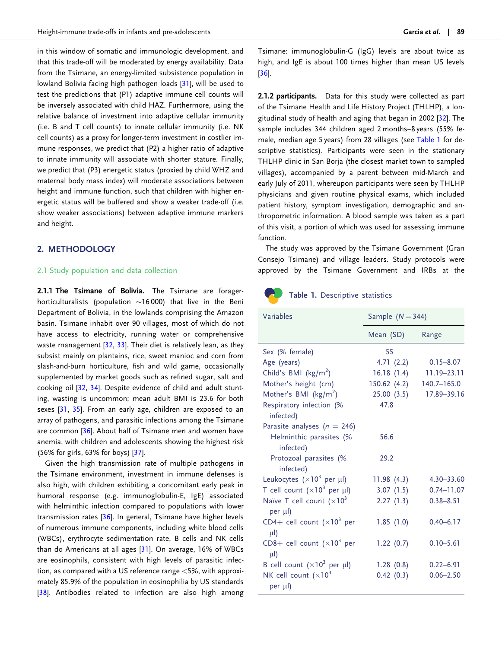<span id="page-5-0"></span>in this window of somatic and immunologic development, and that this trade-off will be moderated by energy availability. Data from the Tsimane, an energy-limited subsistence population in lowland Bolivia facing high pathogen loads [\[31](#page-15-0)], will be used to test the predictions that (P1) adaptive immune cell counts will be inversely associated with child HAZ. Furthermore, using the relative balance of investment into adaptive cellular immunity (i.e. B and T cell counts) to innate cellular immunity (i.e. NK cell counts) as a proxy for longer-term investment in costlier immune responses, we predict that (P2) a higher ratio of adaptive to innate immunity will associate with shorter stature. Finally, we predict that (P3) energetic status (proxied by child WHZ and maternal body mass index) will moderate associations between height and immune function, such that children with higher energetic status will be buffered and show a weaker trade-off (i.e. show weaker associations) between adaptive immune markers and height.

#### 2. METHODOLOGY

#### 2.1 Study population and data collection

2.1.1 The Tsimane of Bolivia. The Tsimane are foragerhorticulturalists (population  $\sim$ 16 000) that live in the Beni Department of Bolivia, in the lowlands comprising the Amazon basin. Tsimane inhabit over 90 villages, most of which do not have access to electricity, running water or comprehensive waste management [\[32,](#page-15-0) [33](#page-15-0)]. Their diet is relatively lean, as they subsist mainly on plantains, rice, sweet manioc and corn from slash-and-burn horticulture, fish and wild game, occasionally supplemented by market goods such as refined sugar, salt and cooking oil [\[32,](#page-15-0) [34\]](#page-15-0). Despite evidence of child and adult stunting, wasting is uncommon; mean adult BMI is 23.6 for both sexes [[31](#page-15-0), [35](#page-15-0)]. From an early age, children are exposed to an array of pathogens, and parasitic infections among the Tsimane are common [\[36\]](#page-15-0). About half of Tsimane men and women have anemia, with children and adolescents showing the highest risk (56% for girls, 63% for boys) [[37](#page-15-0)].

Given the high transmission rate of multiple pathogens in the Tsimane environment, investment in immune defenses is also high, with children exhibiting a concomitant early peak in humoral response (e.g. immunoglobulin-E, IgE) associated with helminthic infection compared to populations with lower transmission rates [\[36\]](#page-15-0). In general, Tsimane have higher levels of numerous immune components, including white blood cells (WBCs), erythrocyte sedimentation rate, B cells and NK cells than do Americans at all ages [\[31\]](#page-15-0). On average, 16% of WBCs are eosinophils, consistent with high levels of parasitic infection, as compared with a US reference range <5%, with approximately 85.9% of the population in eosinophilia by US standards [[38](#page-15-0)]. Antibodies related to infection are also high among

Tsimane: immunoglobulin-G (IgG) levels are about twice as high, and IgE is about 100 times higher than mean US levels [\[36\]](#page-15-0).

2.1.2 participants. Data for this study were collected as part of the Tsimane Health and Life History Project (THLHP), a longitudinal study of health and aging that began in 2002 [\[32\]](#page-15-0). The sample includes 344 children aged 2 months–8 years (55% female, median age 5 years) from 28 villages (see Table 1 for descriptive statistics). Participants were seen in the stationary THLHP clinic in San Borja (the closest market town to sampled villages), accompanied by a parent between mid-March and early July of 2011, whereupon participants were seen by THLHP physicians and given routine physical exams, which included patient history, symptom investigation, demographic and anthropometric information. A blood sample was taken as a part of this visit, a portion of which was used for assessing immune function.

The study was approved by the Tsimane Government (Gran Consejo Tsimane) and village leaders. Study protocols were approved by the Tsimane Government and IRBs at the

Variables Sample  $(N = 344)$ 

#### Table 1. Descriptive statistics

NK cell count  $(x10^3)$ 

per  $\mu$ )

|                                             | Mean (SD)  | Range                    |
|---------------------------------------------|------------|--------------------------|
| Sex (% female)                              | 55         |                          |
| Age (years)                                 | 4.71(2.2)  | $0.15 - 8.07$            |
| Child's BMI ( $\text{kg/m}^2$ )             | 16.18(1.4) | 11.19-23.11              |
| Mother's height (cm)                        |            | 150.62 (4.2) 140.7-165.0 |
| Mother's BMI ( $\text{kg/m}^2$ )            | 25.00(3.5) | 17.89-39.16              |
| Respiratory infection (%<br>infected)       | 47.8       |                          |
| Parasite analyses ( $n = 246$ )             |            |                          |
| Helminthic parasites (%<br>infected)        | 56.6       |                          |
| Protozoal parasites (%<br>infected)         | 29.2       |                          |
| Leukocytes $(\times 10^3$ per µl)           | 11.98(4.3) | $4.30 - 33.60$           |
| T cell count $(\times 10^3$ per µl)         | 3.07(1.5)  | $0.74 - 11.07$           |
| Naïve T cell count $(x10^3)$<br>per $\mu$ . | 2.27(1.3)  | $0.38 - 8.51$            |
| CD4+ cell count $(x10^3$ per<br>$\mu$ l)    | 1.85(1.0)  | $0.40 - 6.17$            |
| CD8+ cell count $(x10^3$ per<br>$\mu$ l)    | 1.22(0.7)  | $0.10 - 5.61$            |
| B cell count $(\times 10^3$ per µl)         | 1.28(0.8)  | $0.22 - 6.91$            |

0.42 (0.3) 0.06–2.50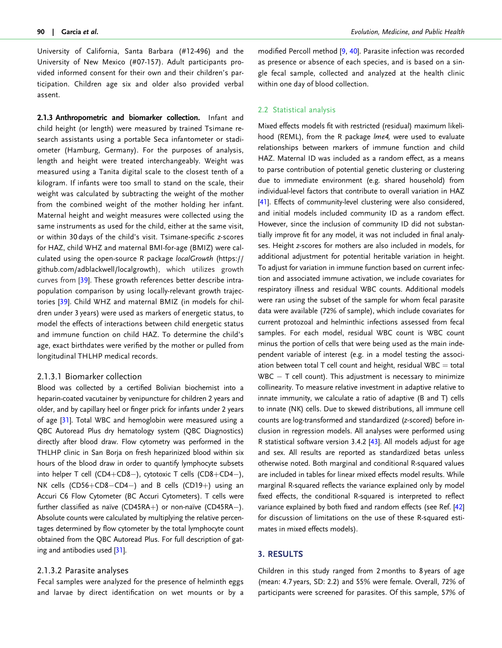<span id="page-6-0"></span>University of California, Santa Barbara (#12-496) and the University of New Mexico (#07-157). Adult participants provided informed consent for their own and their children's participation. Children age six and older also provided verbal assent.

2.1.3 Anthropometric and biomarker collection. Infant and child height (or length) were measured by trained Tsimane research assistants using a portable Seca infantometer or stadiometer (Hamburg, Germany). For the purposes of analysis, length and height were treated interchangeably. Weight was measured using a Tanita digital scale to the closest tenth of a kilogram. If infants were too small to stand on the scale, their weight was calculated by subtracting the weight of the mother from the combined weight of the mother holding her infant. Maternal height and weight measures were collected using the same instruments as used for the child, either at the same visit, or within 30 days of the child's visit. Tsimane-specific z-scores for HAZ, child WHZ and maternal BMI-for-age (BMIZ) were calculated using the open-source R package localGrowth ([https://](https://github.com/adblackwell/localgrowth) [github.com/adblackwell/localgrowth\)](https://github.com/adblackwell/localgrowth), which utilizes growth curves from [[39](#page-15-0)]. These growth references better describe intrapopulation comparison by using locally-relevant growth trajectories [\[39\]](#page-15-0). Child WHZ and maternal BMIZ (in models for children under 3 years) were used as markers of energetic status, to model the effects of interactions between child energetic status and immune function on child HAZ. To determine the child's age, exact birthdates were verified by the mother or pulled from longitudinal THLHP medical records.

#### 2.1.3.1 Biomarker collection

Blood was collected by a certified Bolivian biochemist into a heparin-coated vacutainer by venipuncture for children 2 years and older, and by capillary heel or finger prick for infants under 2 years of age [[31\]](#page-15-0). Total WBC and hemoglobin were measured using a QBC Autoread Plus dry hematology system (QBC Diagnostics) directly after blood draw. Flow cytometry was performed in the THLHP clinic in San Borja on fresh heparinized blood within six hours of the blood draw in order to quantify lymphocyte subsets into helper T cell (CD4+CD8-), cytotoxic T cells (CD8+CD4-), NK cells (CD56+CD8-CD4-) and B cells (CD19+) using an Accuri C6 Flow Cytometer (BC Accuri Cytometers). T cells were further classified as naïve (CD45RA+) or non-naïve (CD45RA-). Absolute counts were calculated by multiplying the relative percentages determined by flow cytometer by the total lymphocyte count obtained from the QBC Autoread Plus. For full description of gat-ing and antibodies used [\[31](#page-15-0)].

#### 2.1.3.2 Parasite analyses

Fecal samples were analyzed for the presence of helminth eggs and larvae by direct identification on wet mounts or by a

modified Percoll method [\[9,](#page-14-0) [40](#page-15-0)]. Parasite infection was recorded as presence or absence of each species, and is based on a single fecal sample, collected and analyzed at the health clinic within one day of blood collection.

#### 2.2 Statistical analysis

Mixed effects models fit with restricted (residual) maximum likelihood (REML), from the R package lme4, were used to evaluate relationships between markers of immune function and child HAZ. Maternal ID was included as a random effect, as a means to parse contribution of potential genetic clustering or clustering due to immediate environment (e.g. shared household) from individual-level factors that contribute to overall variation in HAZ [\[41](#page-15-0)]. Effects of community-level clustering were also considered, and initial models included community ID as a random effect. However, since the inclusion of community ID did not substantially improve fit for any model, it was not included in final analyses. Height z-scores for mothers are also included in models, for additional adjustment for potential heritable variation in height. To adjust for variation in immune function based on current infection and associated immune activation, we include covariates for respiratory illness and residual WBC counts. Additional models were ran using the subset of the sample for whom fecal parasite data were available (72% of sample), which include covariates for current protozoal and helminthic infections assessed from fecal samples. For each model, residual WBC count is WBC count minus the portion of cells that were being used as the main independent variable of interest (e.g. in a model testing the association between total T cell count and height, residual WBC  $=$  total  $WBC - T$  cell count). This adjustment is necessary to minimize collinearity. To measure relative investment in adaptive relative to innate immunity, we calculate a ratio of adaptive (B and T) cells to innate (NK) cells. Due to skewed distributions, all immune cell counts are log-transformed and standardized (z-scored) before inclusion in regression models. All analyses were performed using R statistical software version 3.4.2 [\[43](#page-15-0)]. All models adjust for age and sex. All results are reported as standardized betas unless otherwise noted. Both marginal and conditional R-squared values are included in tables for linear mixed effects model results. While marginal R-squared reflects the variance explained only by model fixed effects, the conditional R-squared is interpreted to reflect variance explained by both fixed and random effects (see Ref. [\[42\]](#page-15-0) for discussion of limitations on the use of these R-squared estimates in mixed effects models).

#### 3. RESULTS

Children in this study ranged from 2 months to 8 years of age (mean: 4.7 years, SD: 2.2) and 55% were female. Overall, 72% of participants were screened for parasites. Of this sample, 57% of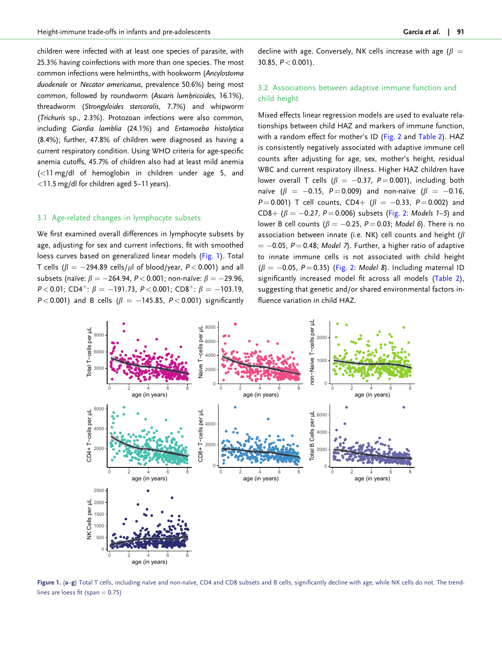children were infected with at least one species of parasite, with 25.3% having coinfections with more than one species. The most common infections were helminths, with hookworm (Ancylostoma duodenale or Necator americanus, prevalence 50.6%) being most common, followed by roundworm (Ascaris lumbricoides, 16.1%), threadworm (Strongyloides stercoralis, 7.7%) and whipworm (Trichuris sp., 2.3%). Protozoan infections were also common, including Giardia lamblia (24.1%) and Entamoeba histolytica (8.4%); further, 47.8% of children were diagnosed as having a current respiratory condition. Using WHO criteria for age-specific anemia cutoffs, 45.7% of children also had at least mild anemia (<11 mg/dl of hemoglobin in children under age 5, and <11.5 mg/dl for children aged 5–11 years).

#### 3.1 Age-related changes in lymphocyte subsets

We first examined overall differences in lymphocyte subsets by age, adjusting for sex and current infections, fit with smoothed loess curves based on generalized linear models (Fig. 1). Total T cells ( $\beta = -294.89$  cells/ $\mu$ l of blood/year, P < 0.001) and all subsets (naïve:  $\beta = -264.94$ ,  $P < 0.001$ ; non-naïve:  $\beta = -29.96$ ,  $P < 0.01$ ; CD4<sup>+</sup>:  $\beta = -191.73$ ,  $P < 0.001$ ; CD8<sup>+</sup>:  $\beta = -103.19$ ,  $P < 0.001$ ) and B cells ( $\beta = -145.85$ ,  $P < 0.001$ ) significantly decline with age. Conversely, NK cells increase with age ( $\beta =$ 30.85,  $P < 0.001$ ).

#### 3.2 Associations between adaptive immune function and child height

Mixed effects linear regression models are used to evaluate relationships between child HAZ and markers of immune function, with a random effect for mother's ID ([Fig. 2](#page-8-0) and [Table 2\)](#page-9-0). HAZ is consistently negatively associated with adaptive immune cell counts after adjusting for age, sex, mother's height, residual WBC and current respiratory illness. Higher HAZ children have lower overall T cells ( $\beta = -0.37$ , P = 0.001), including both naïve ( $\beta = -0.15$ , P = 0.009) and non-naïve ( $\beta = -0.16$ , P = 0.001) T cell counts, CD4+ ( $\beta$  = -0.33, P = 0.002) and CD8+ ( $\beta$  = -0.27, P = 0.006) subsets ([Fig. 2](#page-8-0): Models 1–5) and lower B cell counts ( $\beta = -0.25$ , P = 0.03; Model 6). There is no association between innate (i.e. NK) cell counts and height ( $\beta$  $= -0.05$ , P  $= 0.48$ ; Model 7). Further, a higher ratio of adaptive to innate immune cells is not associated with child height  $(\beta = -0.05, P = 0.35)$  [\(Fig. 2:](#page-8-0) Model 8). Including maternal ID significantly increased model fit across all models [\(Table 2](#page-9-0)), suggesting that genetic and/or shared environmental factors influence variation in child HAZ.



Figure 1. (a-g) Total T cells, including naïve and non-naïve, CD4 and CD8 subsets and B cells, significantly decline with age, while NK cells do not. The trendlines are loess fit (span  $= 0.75$ )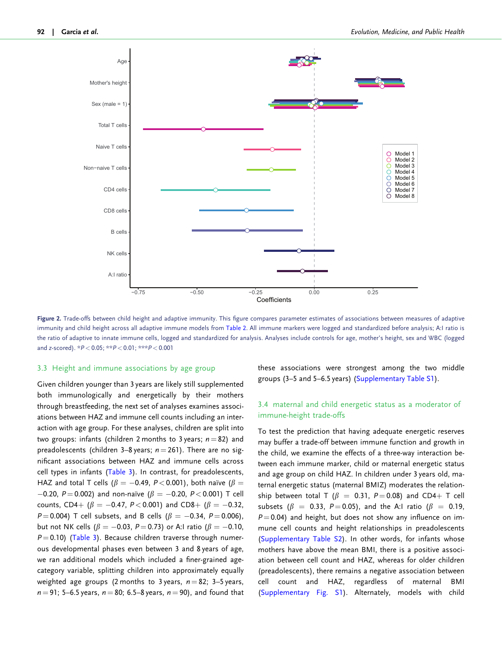<span id="page-8-0"></span>

Figure 2. Trade-offs between child height and adaptive immunity. This figure compares parameter estimates of associations between measures of adaptive immunity and child height across all adaptive immune models from [Table 2](#page-9-0). All immune markers were logged and standardized before analysis; A:I ratio is the ratio of adaptive to innate immune cells, logged and standardized for analysis. Analyses include controls for age, mother's height, sex and WBC (logged and z-scored).  $*P < 0.05$ ;  $*P < 0.01$ ;  $*P < 0.001$ 

#### 3.3 Height and immune associations by age group

Given children younger than 3 years are likely still supplemented both immunologically and energetically by their mothers through breastfeeding, the next set of analyses examines associations between HAZ and immune cell counts including an interaction with age group. For these analyses, children are split into two groups: infants (children 2 months to 3 years;  $n = 82$ ) and preadolescents (children 3–8 years;  $n = 261$ ). There are no significant associations between HAZ and immune cells across cell types in infants ([Table 3\)](#page-10-0). In contrast, for preadolescents, HAZ and total T cells ( $\beta = -0.49$ , P < 0.001), both naïve ( $\beta =$  $-0.20$ , P  $= 0.002$ ) and non-naïve ( $\beta = -0.20$ , P  $< 0.001$ ) T cell counts, CD4+ ( $\beta$  = -0.47, P < 0.001) and CD8+ ( $\beta$  = -0.32,  $P = 0.004$ ) T cell subsets, and B cells ( $\beta = -0.34$ ,  $P = 0.006$ ), but not NK cells ( $\beta = -0.03$ , P = 0.73) or A:I ratio ( $\beta = -0.10$ ,  $P = 0.10$ ) [\(Table 3](#page-10-0)). Because children traverse through numerous developmental phases even between 3 and 8 years of age, we ran additional models which included a finer-grained agecategory variable, splitting children into approximately equally weighted age groups (2 months to 3 years,  $n = 82$ ; 3-5 years,  $n = 91$ ; 5–6.5 years,  $n = 80$ ; 6.5–8 years,  $n = 90$ ), and found that these associations were strongest among the two middle groups (3–5 and 5–6.5 years) ([Supplementary Table S1](https://academic.oup.com/emph/article-lookup/doi/10.1093/emph/eoaa017#supplementary-data)).

#### 3.4 maternal and child energetic status as a moderator of immune-height trade-offs

To test the prediction that having adequate energetic reserves may buffer a trade-off between immune function and growth in the child, we examine the effects of a three-way interaction between each immune marker, child or maternal energetic status and age group on child HAZ. In children under 3 years old, maternal energetic status (maternal BMIZ) moderates the relationship between total T ( $\beta$  = 0.31, P = 0.08) and CD4+ T cell subsets ( $\beta$  = 0.33, P = 0.05), and the A:I ratio ( $\beta$  = 0.19,  $P = 0.04$ ) and height, but does not show any influence on immune cell counts and height relationships in preadolescents [\(Supplementary Table S2](https://academic.oup.com/emph/article-lookup/doi/10.1093/emph/eoaa017#supplementary-data)). In other words, for infants whose mothers have above the mean BMI, there is a positive association between cell count and HAZ, whereas for older children (preadolescents), there remains a negative association between cell count and HAZ, regardless of maternal BMI [\(Supplementary Fig. S1\)](https://academic.oup.com/emph/article-lookup/doi/10.1093/emph/eoaa017#supplementary-data). Alternately, models with child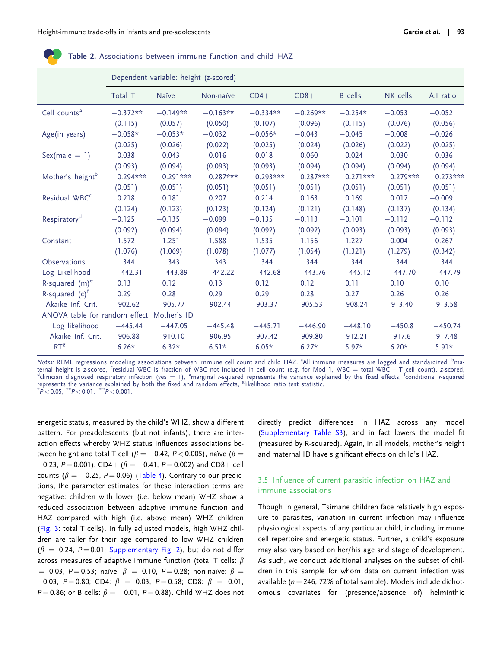<span id="page-9-0"></span>

|                                            | Dependent variable: height (z-scored) |              |            |            |            |                |            |            |
|--------------------------------------------|---------------------------------------|--------------|------------|------------|------------|----------------|------------|------------|
|                                            | Total T                               | <b>Naïve</b> | Non-naïve  | $CD4+$     | $CD8+$     | <b>B</b> cells | NK cells   | A:I ratio  |
| Cell counts <sup>a</sup>                   | $-0.372**$                            | $-0.149**$   | $-0.163**$ | $-0.334**$ | $-0.269**$ | $-0.254*$      | $-0.053$   | $-0.052$   |
|                                            | (0.115)                               | (0.057)      | (0.050)    | (0.107)    | (0.096)    | (0.115)        | (0.076)    | (0.056)    |
| Age(in years)                              | $-0.058*$                             | $-0.053*$    | $-0.032$   | $-0.056*$  | $-0.043$   | $-0.045$       | $-0.008$   | $-0.026$   |
|                                            | (0.025)                               | (0.026)      | (0.022)    | (0.025)    | (0.024)    | (0.026)        | (0.022)    | (0.025)    |
| $Sex(male = 1)$                            | 0.038                                 | 0.043        | 0.016      | 0.018      | 0.060      | 0.024          | 0.030      | 0.036      |
|                                            | (0.093)                               | (0.094)      | (0.093)    | (0.093)    | (0.094)    | (0.094)        | (0.094)    | (0.094)    |
| Mother's heightb                           | $0.294***$                            | $0.291***$   | $0.287***$ | $0.293***$ | $0.287***$ | $0.271***$     | $0.279***$ | $0.273***$ |
|                                            | (0.051)                               | (0.051)      | (0.051)    | (0.051)    | (0.051)    | (0.051)        | (0.051)    | (0.051)    |
| Residual WBC <sup>c</sup>                  | 0.218                                 | 0.181        | 0.207      | 0.214      | 0.163      | 0.169          | 0.017      | $-0.009$   |
|                                            | (0.124)                               | (0.123)      | (0.123)    | (0.124)    | (0.121)    | (0.148)        | (0.137)    | (0.134)    |
| Respiratory <sup>d</sup>                   | $-0.125$                              | $-0.135$     | $-0.099$   | $-0.135$   | $-0.113$   | $-0.101$       | $-0.112$   | $-0.112$   |
|                                            | (0.092)                               | (0.094)      | (0.094)    | (0.092)    | (0.092)    | (0.093)        | (0.093)    | (0.093)    |
| Constant                                   | $-1.572$                              | $-1.251$     | $-1.588$   | $-1.535$   | $-1.156$   | $-1.227$       | 0.004      | 0.267      |
|                                            | (1.076)                               | (1.069)      | (1.078)    | (1.077)    | (1.054)    | (1.321)        | (1.279)    | (0.342)    |
| Observations                               | 344                                   | 343          | 343        | 344        | 344        | 344            | 344        | 344        |
| Log Likelihood                             | $-442.31$                             | $-443.89$    | $-442.22$  | $-442.68$  | $-443.76$  | $-445.12$      | $-447.70$  | $-447.79$  |
| R-squared $(m)^e$                          | 0.13                                  | 0.12         | 0.13       | 0.12       | 0.12       | 0.11           | 0.10       | 0.10       |
| R-squared $(c)$ <sup>t</sup>               | 0.29                                  | 0.28         | 0.29       | 0.29       | 0.28       | 0.27           | 0.26       | 0.26       |
| Akaike Inf. Crit.                          | 902.62                                | 905.77       | 902.44     | 903.37     | 905.53     | 908.24         | 913.40     | 913.58     |
| ANOVA table for random effect: Mother's ID |                                       |              |            |            |            |                |            |            |
| Log likelihood                             | $-445.44$                             | $-447.05$    | $-445.48$  | $-445.71$  | $-446.90$  | $-448.10$      | $-450.8$   | $-450.74$  |
| Akaike Inf. Crit.                          | 906.88                                | 910.10       | 906.95     | 907.42     | 909.80     | 912.21         | 917.6      | 917.48     |
| LRT <sup>g</sup>                           | $6.26*$                               | $6.32*$      | $6.51*$    | $6.05*$    | $6.27*$    | $5.97*$        | $6.20*$    | $5.91*$    |

Table 2. Associations between immune function and child HAZ

Notes: REML regressions modeling associations between immune cell count and child HAZ. <sup>a</sup>All immune measures are logged and standardized, <sup>b</sup>maternal height is z-scored, 'residual WBC is fraction of WBC not included in cell count (e.g. for Mod 1, WBC = total WBC – T cell count), z-scored,  $\frac{d}{dx}$ clinician diagnosed respiratory infection (yes = 1), <sup>e</sup>marginal r-squared represents the variance explained by the fixed effects, <sup>f</sup>conditional r-squared represents the variance explained by both the fixed and random effects, <sup>g</sup>likelihood ratio test statistic.<br>\*P < 0.05; \*\*P < 0.01; \*\*\*P < 0.001  $P < 0.05$ ; \*\* $P < 0.01$ ; \*\*\* $P < 0.001$ .

energetic status, measured by the child's WHZ, show a different pattern. For preadolescents (but not infants), there are interaction effects whereby WHZ status influences associations between height and total T cell ( $\beta = -0.42$ , P < 0.005), naïve ( $\beta =$  $-0.23$ , P  $= 0.001$ ), CD4 + ( $\beta = -0.41$ , P  $= 0.002$ ) and CD8 + cell counts ( $\beta = -0.25$ , P = 0.06) ([Table 4\)](#page-11-0). Contrary to our predictions, the parameter estimates for these interaction terms are negative: children with lower (i.e. below mean) WHZ show a reduced association between adaptive immune function and HAZ compared with high (i.e. above mean) WHZ children ([Fig. 3](#page-12-0): total T cells). In fully adjusted models, high WHZ children are taller for their age compared to low WHZ children  $(\beta = 0.24, P = 0.01;$  [Supplementary Fig. 2\)](https://academic.oup.com/emph/article-lookup/doi/10.1093/emph/eoaa017#supplementary-data), but do not differ across measures of adaptive immune function (total T cells:  $\beta$  $= 0.03$ , P  $= 0.53$ ; naïve:  $\beta = 0.10$ , P  $= 0.28$ ; non-naïve:  $\beta =$  $-0.03$ , P  $= 0.80$ ; CD4:  $\beta = 0.03$ , P  $= 0.58$ ; CD8:  $\beta = 0.01$ ,  $P = 0.86$ ; or B cells:  $\beta = -0.01$ ,  $P = 0.88$ ). Child WHZ does not

directly predict differences in HAZ across any model [\(Supplementary Table S3\)](https://academic.oup.com/emph/article-lookup/doi/10.1093/emph/eoaa017#supplementary-data), and in fact lowers the model fit (measured by R-squared). Again, in all models, mother's height and maternal ID have significant effects on child's HAZ.

#### 3.5 Influence of current parasitic infection on HAZ and immune associations

Though in general, Tsimane children face relatively high exposure to parasites, variation in current infection may influence physiological aspects of any particular child, including immune cell repertoire and energetic status. Further, a child's exposure may also vary based on her/his age and stage of development. As such, we conduct additional analyses on the subset of children in this sample for whom data on current infection was available ( $n = 246$ , 72% of total sample). Models include dichotomous covariates for (presence/absence of) helminthic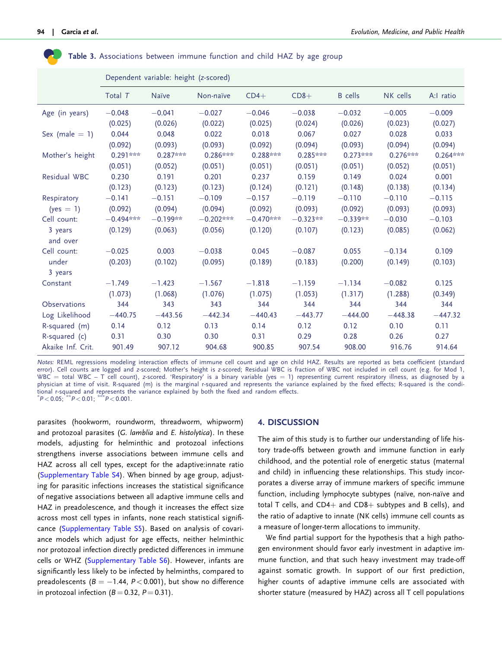<span id="page-10-0"></span>

|                     | Dependent variable: height (z-scored) |              |             |             |            |                |            |            |  |
|---------------------|---------------------------------------|--------------|-------------|-------------|------------|----------------|------------|------------|--|
|                     | Total T                               | <b>Naïve</b> | Non-naïve   | $CD4+$      | $CD8+$     | <b>B</b> cells | NK cells   | A:I ratio  |  |
| Age (in years)      | $-0.048$                              | $-0.041$     | $-0.027$    | $-0.046$    | $-0.038$   | $-0.032$       | $-0.005$   | $-0.009$   |  |
|                     | (0.025)                               | (0.026)      | (0.022)     | (0.025)     | (0.024)    | (0.026)        | (0.023)    | (0.027)    |  |
| Sex (male $= 1$ )   | 0.044                                 | 0.048        | 0.022       | 0.018       | 0.067      | 0.027          | 0.028      | 0.033      |  |
|                     | (0.092)                               | (0.093)      | (0.093)     | (0.092)     | (0.094)    | (0.093)        | (0.094)    | (0.094)    |  |
| Mother's height     | $0.291***$                            | $0.287***$   | $0.286***$  | $0.288***$  | $0.285***$ | $0.273***$     | $0.276***$ | $0.264***$ |  |
|                     | (0.051)                               | (0.052)      | (0.051)     | (0.051)     | (0.051)    | (0.051)        | (0.052)    | (0.051)    |  |
| Residual WBC        | 0.230                                 | 0.191        | 0.201       | 0.237       | 0.159      | 0.149          | 0.024      | 0.001      |  |
|                     | (0.123)                               | (0.123)      | (0.123)     | (0.124)     | (0.121)    | (0.148)        | (0.138)    | (0.134)    |  |
| Respiratory         | $-0.141$                              | $-0.151$     | $-0.109$    | $-0.157$    | $-0.119$   | $-0.110$       | $-0.110$   | $-0.115$   |  |
| $(yes = 1)$         | (0.092)                               | (0.094)      | (0.094)     | (0.092)     | (0.093)    | (0.092)        | (0.093)    | (0.093)    |  |
| Cell count:         | $-0.494***$                           | $-0.199**$   | $-0.202***$ | $-0.470***$ | $-0.323**$ | $-0.339**$     | $-0.030$   | $-0.103$   |  |
| 3 years<br>and over | (0.129)                               | (0.063)      | (0.056)     | (0.120)     | (0.107)    | (0.123)        | (0.085)    | (0.062)    |  |
| Cell count:         | $-0.025$                              | 0.003        | $-0.038$    | 0.045       | $-0.087$   | 0.055          | $-0.134$   | 0.109      |  |
| under<br>3 years    | (0.203)                               | (0.102)      | (0.095)     | (0.189)     | (0.183)    | (0.200)        | (0.149)    | (0.103)    |  |
| Constant            | $-1.749$                              | $-1.423$     | $-1.567$    | $-1.818$    | $-1.159$   | $-1.134$       | $-0.082$   | 0.125      |  |
|                     | (1.073)                               | (1.068)      | (1.076)     | (1.075)     | (1.053)    | (1.317)        | (1.288)    | (0.349)    |  |
| <b>Observations</b> | 344                                   | 343          | 343         | 344         | 344        | 344            | 344        | 344        |  |
| Log Likelihood      | $-440.75$                             | $-443.56$    | $-442.34$   | $-440.43$   | $-443.77$  | $-444.00$      | $-448.38$  | $-447.32$  |  |
| R-squared (m)       | 0.14                                  | 0.12         | 0.13        | 0.14        | 0.12       | 0.12           | 0.10       | 0.11       |  |
| R-squared (c)       | 0.31                                  | 0.30         | 0.30        | 0.31        | 0.29       | 0.28           | 0.26       | 0.27       |  |
| Akaike Inf. Crit.   | 901.49                                | 907.12       | 904.68      | 900.85      | 907.54     | 908.00         | 916.76     | 914.64     |  |

Table 3. Associations between immune function and child HAZ by age group

Notes: REML regressions modeling interaction effects of immune cell count and age on child HAZ. Results are reported as beta coefficient (standard error). Cell counts are logged and z-scored; Mother's height is z-scored; Residual WBC is fraction of WBC not included in cell count (e.g. for Mod 1, WBC = total WBC - T cell count), z-scored. 'Respiratory' is a binary variable (yes = 1) representing current respiratory illness, as diagnosed by a physician at time of visit. R-squared (m) is the marginal r-squared and represents the variance explained by the fixed effects; R-squared is the conditional r-squared and represents the variance explained by both the fixed and random effects.  $*P$  < 0.05;  $*P$  < 0.01;  $*P$  < 0.001.

parasites (hookworm, roundworm, threadworm, whipworm) and protozoal parasites (G. lamblia and E. histolytica). In these models, adjusting for helminthic and protozoal infections strengthens inverse associations between immune cells and HAZ across all cell types, except for the adaptive:innate ratio ([Supplementary Table S4](https://academic.oup.com/emph/article-lookup/doi/10.1093/emph/eoaa017#supplementary-data)). When binned by age group, adjusting for parasitic infections increases the statistical significance of negative associations between all adaptive immune cells and HAZ in preadolescence, and though it increases the effect size across most cell types in infants, none reach statistical significance [\(Supplementary Table S5](https://academic.oup.com/emph/article-lookup/doi/10.1093/emph/eoaa017#supplementary-data)). Based on analysis of covariance models which adjust for age effects, neither helminthic nor protozoal infection directly predicted differences in immune cells or WHZ [\(Supplementary Table S6](https://academic.oup.com/emph/article-lookup/doi/10.1093/emph/eoaa017#supplementary-data)). However, infants are significantly less likely to be infected by helminths, compared to preadolescents ( $B = -1.44$ ,  $P < 0.001$ ), but show no difference in protozoal infection ( $B = 0.32$ ,  $P = 0.31$ ).

#### 4. DISCUSSION

The aim of this study is to further our understanding of life history trade-offs between growth and immune function in early childhood, and the potential role of energetic status (maternal and child) in influencing these relationships. This study incorporates a diverse array of immune markers of specific immune function, including lymphocyte subtypes (naïve, non-naïve and total T cells, and  $CD4+$  and  $CD8+$  subtypes and B cells), and the ratio of adaptive to innate (NK cells) immune cell counts as a measure of longer-term allocations to immunity.

We find partial support for the hypothesis that a high pathogen environment should favor early investment in adaptive immune function, and that such heavy investment may trade-off against somatic growth. In support of our first prediction, higher counts of adaptive immune cells are associated with shorter stature (measured by HAZ) across all T cell populations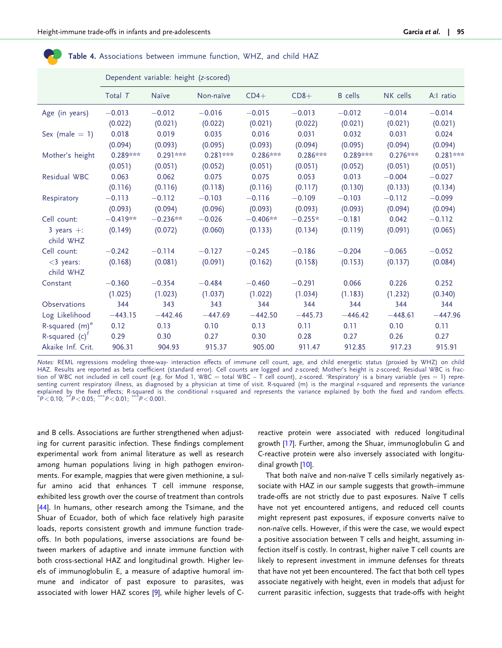| <b>Table 4.</b> Associations between immune function, WHZ, and child HAZ |  |  |  |  |  |  |  |
|--------------------------------------------------------------------------|--|--|--|--|--|--|--|
|--------------------------------------------------------------------------|--|--|--|--|--|--|--|

<span id="page-11-0"></span>

|                              | Dependent variable: height (z-scored) |              |            |            |            |                |            |            |
|------------------------------|---------------------------------------|--------------|------------|------------|------------|----------------|------------|------------|
|                              | Total T                               | <b>Naïve</b> | Non-naïve  | $CD4+$     | $CD8+$     | <b>B</b> cells | NK cells   | A:I ratio  |
| Age (in years)               | $-0.013$                              | $-0.012$     | $-0.016$   | $-0.015$   | $-0.013$   | $-0.012$       | $-0.014$   | $-0.014$   |
|                              | (0.022)                               | (0.021)      | (0.022)    | (0.021)    | (0.022)    | (0.021)        | (0.021)    | (0.021)    |
| Sex (male $= 1$ )            | 0.018                                 | 0.019        | 0.035      | 0.016      | 0.031      | 0.032          | 0.031      | 0.024      |
|                              | (0.094)                               | (0.093)      | (0.095)    | (0.093)    | (0.094)    | (0.095)        | (0.094)    | (0.094)    |
| Mother's height              | 0.289***                              | $0.291***$   | $0.281***$ | $0.286***$ | $0.286***$ | $0.289***$     | $0.276***$ | $0.281***$ |
|                              | (0.051)                               | (0.051)      | (0.052)    | (0.051)    | (0.051)    | (0.052)        | (0.051)    | (0.051)    |
| Residual WBC                 | 0.063                                 | 0.062        | 0.075      | 0.075      | 0.053      | 0.013          | $-0.004$   | $-0.027$   |
|                              | (0.116)                               | (0.116)      | (0.118)    | (0.116)    | (0.117)    | (0.130)        | (0.133)    | (0.134)    |
| Respiratory                  | $-0.113$                              | $-0.112$     | $-0.103$   | $-0.116$   | $-0.109$   | $-0.103$       | $-0.112$   | $-0.099$   |
|                              | (0.093)                               | (0.094)      | (0.096)    | (0.093)    | (0.093)    | (0.093)        | (0.094)    | (0.094)    |
| Cell count:                  | $-0.419**$                            | $-0.236**$   | $-0.026$   | $-0.406**$ | $-0.255*$  | $-0.181$       | 0.042      | $-0.112$   |
| 3 years $+$ :<br>child WHZ   | (0.149)                               | (0.072)      | (0.060)    | (0.133)    | (0.134)    | (0.119)        | (0.091)    | (0.065)    |
| Cell count:                  | $-0.242$                              | $-0.114$     | $-0.127$   | $-0.245$   | $-0.186$   | $-0.204$       | $-0.065$   | $-0.052$   |
| $<$ 3 years:<br>child WHZ    | (0.168)                               | (0.081)      | (0.091)    | (0.162)    | (0.158)    | (0.153)        | (0.137)    | (0.084)    |
| Constant                     | $-0.360$                              | $-0.354$     | $-0.484$   | $-0.460$   | $-0.291$   | 0.066          | 0.226      | 0.252      |
|                              | (1.025)                               | (1.023)      | (1.037)    | (1.022)    | (1.034)    | (1.183)        | (1.232)    | (0.340)    |
| <b>Observations</b>          | 344                                   | 343          | 343        | 344        | 344        | 344            | 344        | 344        |
| Log Likelihood               | $-443.15$                             | $-442.46$    | $-447.69$  | $-442.50$  | $-445.73$  | $-446.42$      | $-448.61$  | $-447.96$  |
| R-squared $(m)^e$            | 0.12                                  | 0.13         | 0.10       | 0.13       | 0.11       | 0.11           | 0.10       | 0.11       |
| R-squared $(c)$ <sup>f</sup> | 0.29                                  | 0.30         | 0.27       | 0.30       | 0.28       | 0.27           | 0.26       | 0.27       |
| Akaike Inf. Crit.            | 906.31                                | 904.93       | 915.37     | 905.00     | 911.47     | 912.85         | 917.23     | 915.91     |

Notes: REML regressions modeling three-way- interaction effects of immune cell count, age, and child energetic status (proxied by WHZ) on child HAZ. Results are reported as beta coefficient (standard error). Cell counts are logged and z-scored; Mother's height is z-scored; Residual WBC is fraction of WBC not included in cell count (e.g. for Mod 1, WBC = total WBC - T cell count), z-scored. 'Respiratory' is a binary variable (yes = 1) representing current respiratory illness, as diagnosed by a physician at time of visit. R-squared (m) is the marginal r-squared and represents the variance explained by the fixed effects; R-squared is the conditional r-squared and represents the variance explained by both the fixed and random effects.  $^*P$   $<$  0.10;  $^{**P}$   $<$  0.05;  $^{***P}$   $<$  0.01;  $^{***P}$   $<$  0.001.

and B cells. Associations are further strengthened when adjusting for current parasitic infection. These findings complement experimental work from animal literature as well as research among human populations living in high pathogen environments. For example, magpies that were given methionine, a sulfur amino acid that enhances T cell immune response, exhibited less growth over the course of treatment than controls [[44](#page-15-0)]. In humans, other research among the Tsimane, and the Shuar of Ecuador, both of which face relatively high parasite loads, reports consistent growth and immune function tradeoffs. In both populations, inverse associations are found between markers of adaptive and innate immune function with both cross-sectional HAZ and longitudinal growth. Higher levels of immunoglobulin E, a measure of adaptive humoral immune and indicator of past exposure to parasites, was associated with lower HAZ scores [\[9\]](#page-14-0), while higher levels of C-

reactive protein were associated with reduced longitudinal growth [[17](#page-14-0)]. Further, among the Shuar, immunoglobulin G and C-reactive protein were also inversely associated with longitu-dinal growth [[10](#page-14-0)].

That both naïve and non-naïve T cells similarly negatively associate with HAZ in our sample suggests that growth–immune trade-offs are not strictly due to past exposures. Naïve T cells have not yet encountered antigens, and reduced cell counts might represent past exposures, if exposure converts naïve to non-naïve cells. However, if this were the case, we would expect a positive association between T cells and height, assuming infection itself is costly. In contrast, higher naïve T cell counts are likely to represent investment in immune defenses for threats that have not yet been encountered. The fact that both cell types associate negatively with height, even in models that adjust for current parasitic infection, suggests that trade-offs with height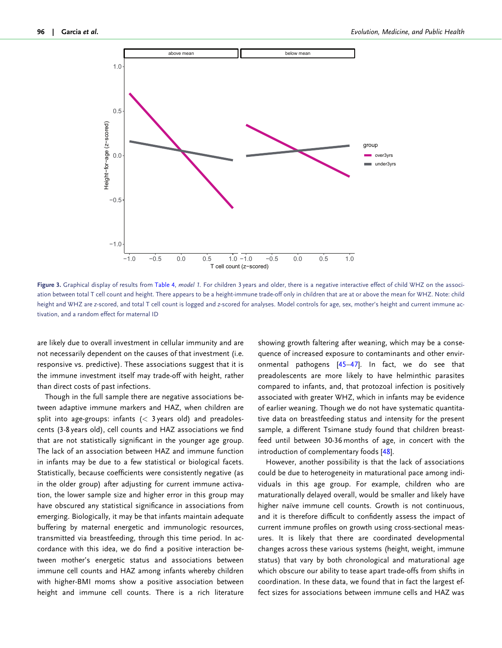<span id="page-12-0"></span>

Figure 3. Graphical display of results from [Table 4](#page-11-0), model 1. For children 3 years and older, there is a negative interactive effect of child WHZ on the association between total T cell count and height. There appears to be a height-immune trade-off only in children that are at or above the mean for WHZ. Note: child height and WHZ are z-scored, and total T cell count is logged and z-scored for analyses. Model controls for age, sex, mother's height and current immune activation, and a random effect for maternal ID

are likely due to overall investment in cellular immunity and are not necessarily dependent on the causes of that investment (i.e. responsive vs. predictive). These associations suggest that it is the immune investment itself may trade-off with height, rather than direct costs of past infections.

Though in the full sample there are negative associations between adaptive immune markers and HAZ, when children are split into age-groups: infants  $(<$  3 years old) and preadolescents (3-8 years old), cell counts and HAZ associations we find that are not statistically significant in the younger age group. The lack of an association between HAZ and immune function in infants may be due to a few statistical or biological facets. Statistically, because coefficients were consistently negative (as in the older group) after adjusting for current immune activation, the lower sample size and higher error in this group may have obscured any statistical significance in associations from emerging. Biologically, it may be that infants maintain adequate buffering by maternal energetic and immunologic resources, transmitted via breastfeeding, through this time period. In accordance with this idea, we do find a positive interaction between mother's energetic status and associations between immune cell counts and HAZ among infants whereby children with higher-BMI moms show a positive association between height and immune cell counts. There is a rich literature

showing growth faltering after weaning, which may be a consequence of increased exposure to contaminants and other environmental pathogens [\[45–47\]](#page-15-0). In fact, we do see that preadolescents are more likely to have helminthic parasites compared to infants, and, that protozoal infection is positively associated with greater WHZ, which in infants may be evidence of earlier weaning. Though we do not have systematic quantitative data on breastfeeding status and intensity for the present sample, a different Tsimane study found that children breastfeed until between 30-36 months of age, in concert with the introduction of complementary foods [[48](#page-15-0)].

However, another possibility is that the lack of associations could be due to heterogeneity in maturational pace among individuals in this age group. For example, children who are maturationally delayed overall, would be smaller and likely have higher naïve immune cell counts. Growth is not continuous, and it is therefore difficult to confidently assess the impact of current immune profiles on growth using cross-sectional measures. It is likely that there are coordinated developmental changes across these various systems (height, weight, immune status) that vary by both chronological and maturational age which obscure our ability to tease apart trade-offs from shifts in coordination. In these data, we found that in fact the largest effect sizes for associations between immune cells and HAZ was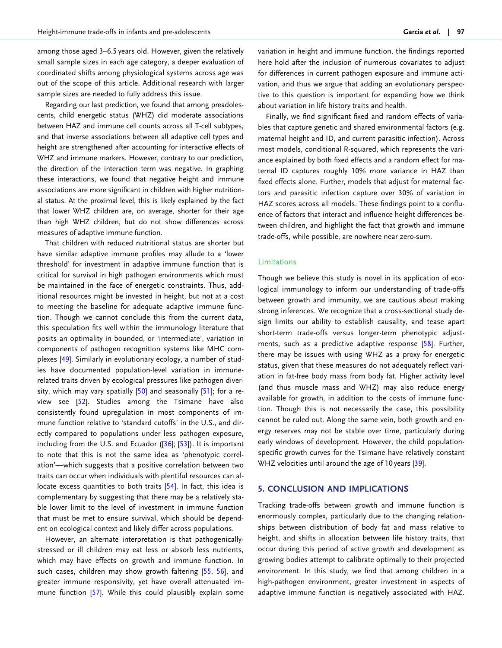<span id="page-13-0"></span>among those aged 3–6.5 years old. However, given the relatively small sample sizes in each age category, a deeper evaluation of coordinated shifts among physiological systems across age was out of the scope of this article. Additional research with larger sample sizes are needed to fully address this issue.

Regarding our last prediction, we found that among preadolescents, child energetic status (WHZ) did moderate associations between HAZ and immune cell counts across all T-cell subtypes, and that inverse associations between all adaptive cell types and height are strengthened after accounting for interactive effects of WHZ and immune markers. However, contrary to our prediction, the direction of the interaction term was negative. In graphing these interactions, we found that negative height and immune associations are more significant in children with higher nutritional status. At the proximal level, this is likely explained by the fact that lower WHZ children are, on average, shorter for their age than high WHZ children, but do not show differences across measures of adaptive immune function.

That children with reduced nutritional status are shorter but have similar adaptive immune profiles may allude to a 'lower threshold' for investment in adaptive immune function that is critical for survival in high pathogen environments which must be maintained in the face of energetic constraints. Thus, additional resources might be invested in height, but not at a cost to meeting the baseline for adequate adaptive immune function. Though we cannot conclude this from the current data, this speculation fits well within the immunology literature that posits an optimality in bounded, or 'intermediate', variation in components of pathogen recognition systems like MHC complexes [\[49\]](#page-15-0). Similarly in evolutionary ecology, a number of studies have documented population-level variation in immunerelated traits driven by ecological pressures like pathogen diversity, which may vary spatially  $[50]$  $[50]$  $[50]$  and seasonally  $[51]$  $[51]$  $[51]$ ; for a review see [\[52\]](#page-15-0). Studies among the Tsimane have also consistently found upregulation in most components of immune function relative to 'standard cutoffs' in the U.S., and directly compared to populations under less pathogen exposure, including from the U.S. and Ecuador  $([36]; [53])$  $([36]; [53])$  $([36]; [53])$  $([36]; [53])$  $([36]; [53])$ . It is important to note that this is not the same idea as 'phenotypic correlation'—which suggests that a positive correlation between two traits can occur when individuals with plentiful resources can allocate excess quantities to both traits [\[54\]](#page-15-0). In fact, this idea is complementary by suggesting that there may be a relatively stable lower limit to the level of investment in immune function that must be met to ensure survival, which should be dependent on ecological context and likely differ across populations.

However, an alternate interpretation is that pathogenicallystressed or ill children may eat less or absorb less nutrients, which may have effects on growth and immune function. In such cases, children may show growth faltering [\[55,](#page-15-0) [56\]](#page-15-0), and greater immune responsivity, yet have overall attenuated immune function [\[57\]](#page-15-0). While this could plausibly explain some

variation in height and immune function, the findings reported here hold after the inclusion of numerous covariates to adjust for differences in current pathogen exposure and immune activation, and thus we argue that adding an evolutionary perspective to this question is important for expanding how we think about variation in life history traits and health.

Finally, we find significant fixed and random effects of variables that capture genetic and shared environmental factors (e.g. maternal height and ID, and current parasitic infection). Across most models, conditional R-squared, which represents the variance explained by both fixed effects and a random effect for maternal ID captures roughly 10% more variance in HAZ than fixed effects alone. Further, models that adjust for maternal factors and parasitic infection capture over 30% of variation in HAZ scores across all models. These findings point to a confluence of factors that interact and influence height differences between children, and highlight the fact that growth and immune trade-offs, while possible, are nowhere near zero-sum.

#### Limitations

Though we believe this study is novel in its application of ecological immunology to inform our understanding of trade-offs between growth and immunity, we are cautious about making strong inferences. We recognize that a cross-sectional study design limits our ability to establish causality, and tease apart short-term trade-offs versus longer-term phenotypic adjustments, such as a predictive adaptive response [[58](#page-15-0)]. Further, there may be issues with using WHZ as a proxy for energetic status, given that these measures do not adequately reflect variation in fat-free body mass from body fat. Higher activity level (and thus muscle mass and WHZ) may also reduce energy available for growth, in addition to the costs of immune function. Though this is not necessarily the case, this possibility cannot be ruled out. Along the same vein, both growth and energy reserves may not be stable over time, particularly during early windows of development. However, the child populationspecific growth curves for the Tsimane have relatively constant WHZ velocities until around the age of 10 years [[39](#page-15-0)].

#### 5. CONCLUSION AND IMPLICATIONS

Tracking trade-offs between growth and immune function is enormously complex, particularly due to the changing relationships between distribution of body fat and mass relative to height, and shifts in allocation between life history traits, that occur during this period of active growth and development as growing bodies attempt to calibrate optimally to their projected environment. In this study, we find that among children in a high-pathogen environment, greater investment in aspects of adaptive immune function is negatively associated with HAZ.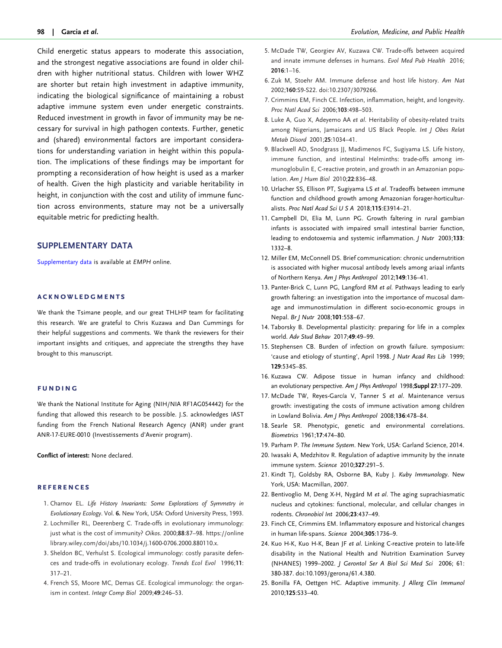<span id="page-14-0"></span>Child energetic status appears to moderate this association, and the strongest negative associations are found in older children with higher nutritional status. Children with lower WHZ are shorter but retain high investment in adaptive immunity, indicating the biological significance of maintaining a robust adaptive immune system even under energetic constraints. Reduced investment in growth in favor of immunity may be necessary for survival in high pathogen contexts. Further, genetic and (shared) environmental factors are important considerations for understanding variation in height within this population. The implications of these findings may be important for prompting a reconsideration of how height is used as a marker of health. Given the high plasticity and variable heritability in height, in conjunction with the cost and utility of immune function across environments, stature may not be a universally equitable metric for predicting health.

#### SUPPLEMENTARY DATA

[Supplementary data](https://academic.oup.com/emph/article-lookup/doi/10.1093/emph/eoaa017#supplementary-data) is available at EMPH online.

#### acknowledgments

We thank the Tsimane people, and our great THLHP team for facilitating this research. We are grateful to Chris Kuzawa and Dan Cummings for their helpful suggestions and comments. We thank the reviewers for their important insights and critiques, and appreciate the strengths they have brought to this manuscript.

#### funding

We thank the National Institute for Aging (NIH/NIA RF1AG054442) for the funding that allowed this research to be possible. J.S. acknowledges IAST funding from the French National Research Agency (ANR) under grant ANR-17-EURE-0010 (Investissements d'Avenir program).

Conflict of interest: None declared.

#### **REFERENCES**

- 1. Charnov EL. Life History Invariants: Some Explorations of Symmetry in Evolutionary Ecology. Vol. 6. New York, USA: Oxford University Press, 1993.
- 2. Lochmiller RL, Deerenberg C. Trade-offs in evolutionary immunology: just what is the cost of immunity? Oikos. 2000;88:87–98. [https://online](https://onlinelibrary.wiley.com/doi/abs/) [library.wiley.com/doi/abs/](https://onlinelibrary.wiley.com/doi/abs/)10.1034/j.1600-0706.2000.880110.x.
- 3. Sheldon BC, Verhulst S. Ecological immunology: costly parasite defences and trade-offs in evolutionary ecology. Trends Ecol Evol 1996;11: 317–21.
- [4](#page-3-0). French SS, Moore MC, Demas GE. Ecological immunology: the organism in context. Integr Comp Biol 2009;49:246–53.
- [5.](#page-3-0) McDade TW, Georgiev AV, Kuzawa CW. Trade-offs between acquired and innate immune defenses in humans. Evol Med Pub Health 2016; 2016:1–16.
- [6.](#page-3-0) Zuk M, Stoehr AM. Immune defense and host life history. Am Nat 2002;160:S9-S22. doi:10.2307/3079266.
- [7.](#page-3-0) Crimmins EM, Finch CE. Infection, inflammation, height, and longevity. Proc Natl Acad Sci 2006;103:498–503.
- [8.](#page-3-0) Luke A, Guo X, Adeyemo AA et al. Heritability of obesity-related traits among Nigerians, Jamaicans and US Black People. Int J Obes Relat Metab Disord 2001;25:1034–41.
- [9.](#page-3-0) Blackwell AD, Snodgrass JJ, Madimenos FC, Sugiyama LS. Life history, immune function, and intestinal Helminths: trade-offs among immunoglobulin E, C-reactive protein, and growth in an Amazonian population. Am J Hum Biol 2010;22:836–48.
- [10.](#page-3-0) Urlacher SS, Ellison PT, Sugiyama LS et al. Tradeoffs between immune function and childhood growth among Amazonian forager-horticulturalists. Proc Natl Acad Sci U S A 2018;115:E3914–21.
- [11.](#page-3-0) Campbell DI, Elia M, Lunn PG. Growth faltering in rural gambian infants is associated with impaired small intestinal barrier function, leading to endotoxemia and systemic inflammation. *J Nutr* 2003;133: 1332–8.
- [12.](#page-3-0) Miller EM, McConnell DS. Brief communication: chronic undernutrition is associated with higher mucosal antibody levels among ariaal infants of Northern Kenya. Am J Phys Anthropol 2012;149:136-41.
- [13.](#page-3-0) Panter-Brick C, Lunn PG, Langford RM et al. Pathways leading to early growth faltering: an investigation into the importance of mucosal damage and immunostimulation in different socio-economic groups in Nepal. Br J Nutr 2008;101:558–67.
- [14.](#page-3-0) Taborsky B. Developmental plasticity: preparing for life in a complex world. Adv Stud Behav 2017;49:49–99.
- [15.](#page-3-0) Stephensen CB. Burden of infection on growth failure. symposium: 'cause and etiology of stunting', April 1998. J Nutr Acad Res Lib 1999; 129:534S–8S.
- [16.](#page-3-0) Kuzawa CW. Adipose tissue in human infancy and childhood: an evolutionary perspective. Am J Phys Anthropol 1998; Suppl 27:177-209.
- [17.](#page-3-0) McDade TW, Reyes-García V, Tanner S et al. Maintenance versus growth: investigating the costs of immune activation among children in Lowland Bolivia. Am J Phys Anthropol 2008;136:478-84.
- [18.](#page-3-0) Searle SR. Phenotypic, genetic and environmental correlations. Biometrics 1961;17:474–80.
- [19.](#page-4-0) Parham P. The Immune System. New York, USA: Garland Science, 2014.
- [20.](#page-4-0) Iwasaki A, Medzhitov R. Regulation of adaptive immunity by the innate immune system. Science 2010;327:291–5.
- [21.](#page-4-0) Kindt TJ, Goldsby RA, Osborne BA, Kuby J. Kuby Immunology. New York, USA: Macmillan, 2007.
- 22. Bentivoglio M, Deng X-H, Nygård M et al. The aging suprachiasmatic nucleus and cytokines: functional, molecular, and cellular changes in rodents. Chronobiol Int 2006;23:437–49.
- 23. Finch CE, Crimmins EM. Inflammatory exposure and historical changes in human life-spans. Science 2004;305:1736–9.
- 24. Kuo H-K, Kuo H-K, Bean JF et al. Linking C-reactive protein to late-life disability in the National Health and Nutrition Examination Survey (NHANES) 1999–2002. J Gerontol Ser A Biol Sci Med Sci 2006; 61: 380-387. doi:10.1093/gerona/61.4.380.
- [25.](#page-4-0) Bonilla FA, Oettgen HC. Adaptive immunity. J Allerg Clin Immunol 2010;125:S33–40.